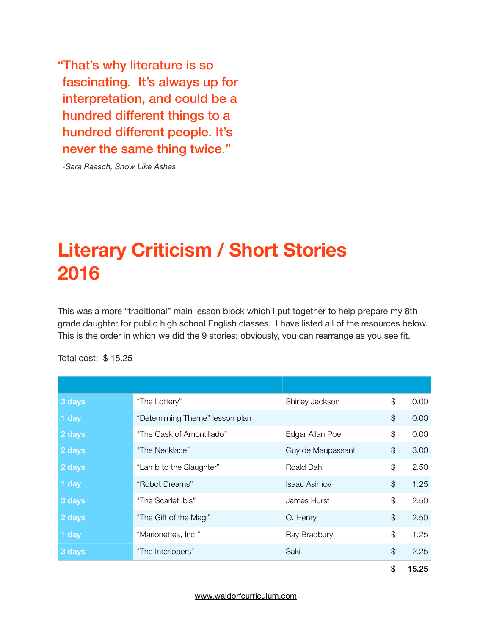"That's why literature is so fascinating. It's always up for interpretation, and could be a hundred different things to a hundred different people. It's never the same thing twice."

*-Sara Raasch, Snow Like Ashes*

# **Literary Criticism / Short Stories 2016**

This was a more "traditional" main lesson block which I put together to help prepare my 8th grade daughter for public high school English classes. I have listed all of the resources below. This is the order in which we did the 9 stories; obviously, you can rearrange as you see fit.

|        |                                 |                     | \$            | 15.25 |
|--------|---------------------------------|---------------------|---------------|-------|
| 3 days | "The Interlopers"               | Saki                | \$            | 2.25  |
| 1 day  | "Marionettes, Inc."             | Ray Bradbury        | \$            | 1.25  |
| 2 days | "The Gift of the Magi"          | O. Henry            | $\mathcal{S}$ | 2.50  |
| 3 days | "The Scarlet Ibis"              | James Hurst         | $\mathcal{L}$ | 2.50  |
| 1 day  | "Robot Dreams"                  | <b>Isaac Asimov</b> | $\mathcal{L}$ | 1.25  |
| 2 days | "Lamb to the Slaughter"         | Roald Dahl          | \$            | 2.50  |
| 2 days | "The Necklace"                  | Guy de Maupassant   | $\frac{1}{2}$ | 3.00  |
| 2 days | "The Cask of Amontillado"       | Edgar Allan Poe     | \$            | 0.00  |
| 1 day  | "Determining Theme" lesson plan |                     | $\mathcal{L}$ | 0.00  |
| 3 days | "The Lottery"                   | Shirley Jackson     | $\mathcal{L}$ | 0.00  |
|        |                                 |                     |               |       |

Total cost: \$ 15.25

[www.waldorfcurriculum.com](http://www.waldorfcurriculum.com)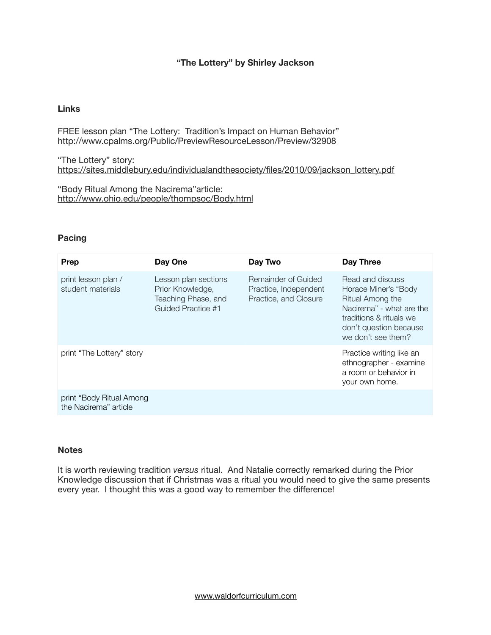# **"The Lottery" by Shirley Jackson**

## **Links**

FREE lesson plan "The Lottery: Tradition's Impact on Human Behavior" <http://www.cpalms.org/Public/PreviewResourceLesson/Preview/32908>

"The Lottery" story: [https://sites.middlebury.edu/individualandthesociety/files/2010/09/jackson\\_lottery.pdf](https://sites.middlebury.edu/individualandthesociety/files/2010/09/jackson_lottery.pdf)

"Body Ritual Among the Nacirema"article: <http://www.ohio.edu/people/thompsoc/Body.html> 

# **Pacing**

| <b>Prep</b>                                       | Day One                                                                               | Day Two                                                               | Day Three                                                                                                                                                           |
|---------------------------------------------------|---------------------------------------------------------------------------------------|-----------------------------------------------------------------------|---------------------------------------------------------------------------------------------------------------------------------------------------------------------|
| print lesson plan /<br>student materials          | Lesson plan sections<br>Prior Knowledge,<br>Teaching Phase, and<br>Guided Practice #1 | Remainder of Guided<br>Practice, Independent<br>Practice, and Closure | Read and discuss<br>Horace Miner's "Body<br>Ritual Among the<br>Nacirema" - what are the<br>traditions & rituals we<br>don't question because<br>we don't see them? |
| print "The Lottery" story                         |                                                                                       |                                                                       | Practice writing like an<br>ethnographer - examine<br>a room or behavior in<br>your own home.                                                                       |
| print "Body Ritual Among<br>the Nacirema" article |                                                                                       |                                                                       |                                                                                                                                                                     |

#### **Notes**

It is worth reviewing tradition *versus* ritual. And Natalie correctly remarked during the Prior Knowledge discussion that if Christmas was a ritual you would need to give the same presents every year. I thought this was a good way to remember the difference!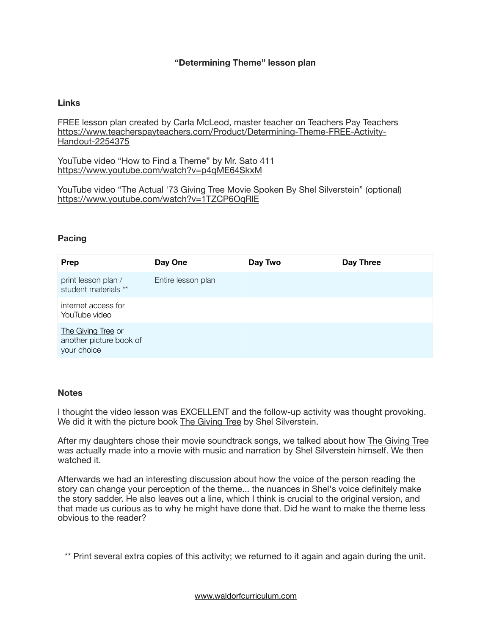# **"Determining Theme" lesson plan**

#### **Links**

FREE lesson plan created by Carla McLeod, master teacher on Teachers Pay Teachers [https://www.teacherspayteachers.com/Product/Determining-Theme-FREE-Activity-](https://www.teacherspayteachers.com/Product/Determining-Theme-FREE-Activity-Handout-2254375)Handout-2254375

YouTube video "How to Find a Theme" by Mr. Sato 411 <https://www.youtube.com/watch?v=p4qME64SkxM>

YouTube video "The Actual '73 Giving Tree Movie Spoken By Shel Silverstein" (optional) <https://www.youtube.com/watch?v=1TZCP6OqRlE>

#### **Pacing**

| <b>Prep</b>                                                  | Day One            | Day Two | Day Three |
|--------------------------------------------------------------|--------------------|---------|-----------|
| print lesson plan /<br>student materials **                  | Entire lesson plan |         |           |
| internet access for<br>YouTube video                         |                    |         |           |
| The Giving Tree or<br>another picture book of<br>your choice |                    |         |           |

#### **Notes**

I thought the video lesson was EXCELLENT and the follow-up activity was thought provoking. We did it with the picture book The Giving Tree by Shel Silverstein.

After my daughters chose their movie soundtrack songs, we talked about how The Giving Tree was actually made into a movie with music and narration by Shel Silverstein himself. We then watched it.

Afterwards we had an interesting discussion about how the voice of the person reading the story can change your perception of the theme... the nuances in Shel's voice definitely make the story sadder. He also leaves out a line, which I think is crucial to the original version, and that made us curious as to why he might have done that. Did he want to make the theme less obvious to the reader?

\*\* Print several extra copies of this activity; we returned to it again and again during the unit.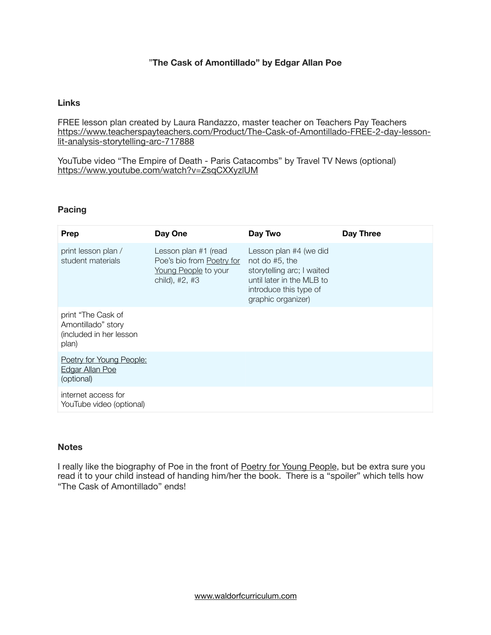# "**The Cask of Amontillado" by Edgar Allan Poe**

# **Links**

FREE lesson plan created by Laura Randazzo, master teacher on Teachers Pay Teachers [https://www.teacherspayteachers.com/Product/The-Cask-of-Amontillado-FREE-2-day-lesson](https://www.teacherspayteachers.com/Product/The-Cask-of-Amontillado-FREE-2-day-lesson-lit-analysis-storytelling-arc-717888)lit-analysis-storytelling-arc-717888

YouTube video "The Empire of Death - Paris Catacombs" by Travel TV News (optional) <https://www.youtube.com/watch?v=ZsqCXXyzlUM>

# **Pacing**

| <b>Prep</b>                                                                  | Day One                                                                                     | Day Two                                                                                                                                             | Day Three |
|------------------------------------------------------------------------------|---------------------------------------------------------------------------------------------|-----------------------------------------------------------------------------------------------------------------------------------------------------|-----------|
| print lesson plan /<br>student materials                                     | Lesson plan #1 (read<br>Poe's bio from Poetry for<br>Young People to your<br>child), #2, #3 | Lesson plan #4 (we did<br>not do #5, the<br>storytelling arc; I waited<br>until later in the MLB to<br>introduce this type of<br>graphic organizer) |           |
| print "The Cask of<br>Amontillado" story<br>(included in her lesson<br>plan) |                                                                                             |                                                                                                                                                     |           |
| Poetry for Young People:<br><b>Edgar Allan Poe</b><br>(optional)             |                                                                                             |                                                                                                                                                     |           |
| internet access for<br>YouTube video (optional)                              |                                                                                             |                                                                                                                                                     |           |

#### **Notes**

I really like the biography of Poe in the front of Poetry for Young People, but be extra sure you read it to your child instead of handing him/her the book. There is a "spoiler" which tells how "The Cask of Amontillado" ends!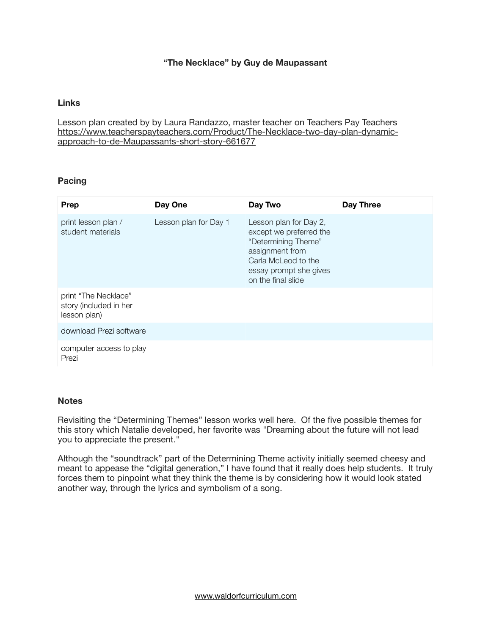# **"The Necklace" by Guy de Maupassant**

# **Links**

Lesson plan created by by Laura Randazzo, master teacher on Teachers Pay Teachers [https://www.teacherspayteachers.com/Product/The-Necklace-two-day-plan-dynamic](https://www.teacherspayteachers.com/Product/The-Necklace-two-day-plan-dynamic-approach-to-de-Maupassants-short-story-661677)approach-to-de-Maupassants-short-story-661677

# **Pacing**

| Prep                                                           | Day One               | Day Two                                                                                                                                                            | Day Three |
|----------------------------------------------------------------|-----------------------|--------------------------------------------------------------------------------------------------------------------------------------------------------------------|-----------|
| print lesson plan /<br>student materials                       | Lesson plan for Day 1 | Lesson plan for Day 2,<br>except we preferred the<br>"Determining Theme"<br>assignment from<br>Carla McLeod to the<br>essay prompt she gives<br>on the final slide |           |
| print "The Necklace"<br>story (included in her<br>lesson plan) |                       |                                                                                                                                                                    |           |
| download Prezi software                                        |                       |                                                                                                                                                                    |           |
| computer access to play<br>Prezi                               |                       |                                                                                                                                                                    |           |

#### **Notes**

Revisiting the "Determining Themes" lesson works well here. Of the five possible themes for this story which Natalie developed, her favorite was "Dreaming about the future will not lead you to appreciate the present."

Although the "soundtrack" part of the Determining Theme activity initially seemed cheesy and meant to appease the "digital generation," I have found that it really does help students. It truly forces them to pinpoint what they think the theme is by considering how it would look stated another way, through the lyrics and symbolism of a song.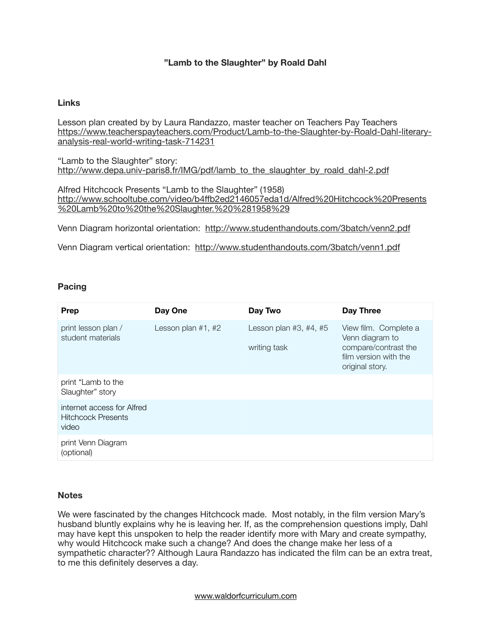# **"Lamb to the Slaughter" by Roald Dahl**

## **Links**

Lesson plan created by by Laura Randazzo, master teacher on Teachers Pay Teachers [https://www.teacherspayteachers.com/Product/Lamb-to-the-Slaughter-by-Roald-Dahl-literary](https://www.teacherspayteachers.com/Product/Lamb-to-the-Slaughter-by-Roald-Dahl-literary-analysis-real-world-writing-task-714231)analysis-real-world-writing-task-714231

"Lamb to the Slaughter" story: [http://www.depa.univ-paris8.fr/IMG/pdf/lamb\\_to\\_the\\_slaughter\\_by\\_roald\\_dahl-2.pdf](http://www.depa.univ-paris8.fr/IMG/pdf/lamb_to_the_slaughter_by_roald_dahl-2.pdf)

Alfred Hitchcock Presents "Lamb to the Slaughter" (1958) http://www.schooltube.com/video/b4ffb2ed2146057eda1d/Alfred%20Hitchcock%20Presents [%20Lamb%20to%20the%20Slaughter.%20%281958%29](http://www.schooltube.com/video/b4ffb2ed2146057eda1d/Alfred%20Hitchcock%20Presents%20Lamb%20to%20the%20Slaughter.%20%281958%29)

Venn Diagram horizontal orientation: <http://www.studenthandouts.com/3batch/venn2.pdf>

Venn Diagram vertical orientation: <http://www.studenthandouts.com/3batch/venn1.pdf>

# **Pacing**

| Prep                                                             | Day One              | Day Two                                  | Day Three                                                                                                    |
|------------------------------------------------------------------|----------------------|------------------------------------------|--------------------------------------------------------------------------------------------------------------|
| print lesson plan /<br>student materials                         | Lesson plan $#1, #2$ | Lesson plan $#3, #4, #5$<br>writing task | View film. Complete a<br>Venn diagram to<br>compare/contrast the<br>film version with the<br>original story. |
| print "Lamb to the<br>Slaughter" story                           |                      |                                          |                                                                                                              |
| internet access for Alfred<br><b>Hitchcock Presents</b><br>video |                      |                                          |                                                                                                              |
| print Venn Diagram<br>(optional)                                 |                      |                                          |                                                                                                              |

#### **Notes**

We were fascinated by the changes Hitchcock made. Most notably, in the film version Mary's husband bluntly explains why he is leaving her. If, as the comprehension questions imply, Dahl may have kept this unspoken to help the reader identify more with Mary and create sympathy, why would Hitchcock make such a change? And does the change make her less of a sympathetic character?? Although Laura Randazzo has indicated the film can be an extra treat, to me this definitely deserves a day.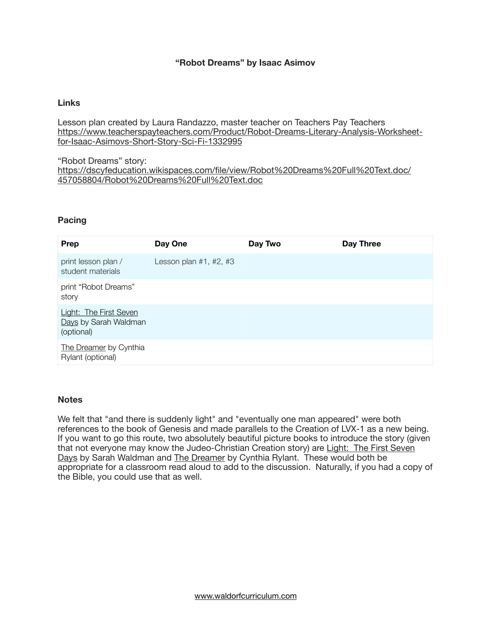# **"Robot Dreams" by Isaac Asimov**

#### **Links**

Lesson plan created by Laura Randazzo, master teacher on Teachers Pay Teachers [https://www.teacherspayteachers.com/Product/Robot-Dreams-Literary-Analysis-Worksheet](https://www.teacherspayteachers.com/Product/Robot-Dreams-Literary-Analysis-Worksheet-for-Isaac-Asimovs-Short-Story-Sci-Fi-1332995)for-Isaac-Asimovs-Short-Story-Sci-Fi-1332995

"Robot Dreams" story: [https://dscyfeducation.wikispaces.com/file/view/Robot%20Dreams%20Full%20Text.doc/](https://dscyfeducation.wikispaces.com/file/view/Robot%20Dreams%20Full%20Text.doc/457058804/Robot%20Dreams%20Full%20Text.doc) 457058804/Robot%20Dreams%20Full%20Text.doc

#### **Pacing**

| Prep                                                          | Day One                  | Day Two | Day Three |
|---------------------------------------------------------------|--------------------------|---------|-----------|
| print lesson plan /<br>student materials                      | Lesson plan $#1, #2, #3$ |         |           |
| print "Robot Dreams"<br>story                                 |                          |         |           |
| Light: The First Seven<br>Days by Sarah Waldman<br>(optional) |                          |         |           |
| The Dreamer by Cynthia<br>Rylant (optional)                   |                          |         |           |

#### **Notes**

We felt that "and there is suddenly light" and "eventually one man appeared" were both references to the book of Genesis and made parallels to the Creation of LVX-1 as a new being. If you want to go this route, two absolutely beautiful picture books to introduce the story (given that not everyone may know the Judeo-Christian Creation story) are Light: The First Seven Days by Sarah Waldman and The Dreamer by Cynthia Rylant. These would both be appropriate for a classroom read aloud to add to the discussion. Naturally, if you had a copy of the Bible, you could use that as well.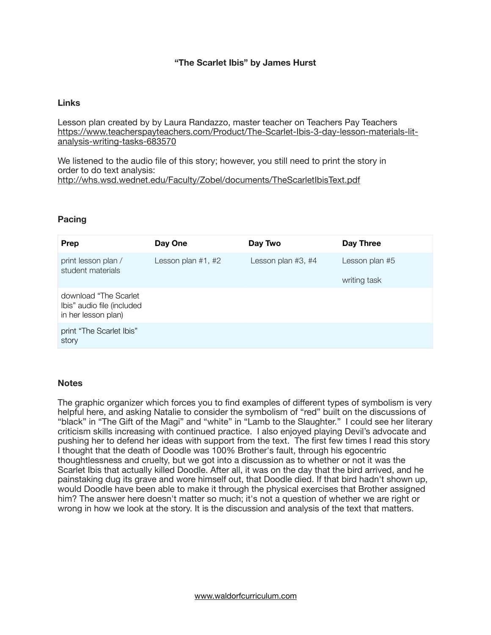# **"The Scarlet Ibis" by James Hurst**

#### **Links**

Lesson plan created by by Laura Randazzo, master teacher on Teachers Pay Teachers [https://www.teacherspayteachers.com/Product/The-Scarlet-Ibis-3-day-lesson-materials-lit](https://www.teacherspayteachers.com/Product/The-Scarlet-Ibis-3-day-lesson-materials-lit-analysis-writing-tasks-683570)analysis-writing-tasks-683570

We listened to the audio file of this story; however, you still need to print the story in order to do text analysis: <http://whs.wsd.wednet.edu/Faculty/Zobel/documents/TheScarletIbisText.pdf>

#### **Pacing**

| <b>Prep</b>                                                                 | Day One              | Day Two              | <b>Day Three</b> |
|-----------------------------------------------------------------------------|----------------------|----------------------|------------------|
| print lesson plan /<br>student materials                                    | Lesson plan $#1, #2$ | Lesson plan $#3, #4$ | Lesson plan #5   |
|                                                                             |                      |                      | writing task     |
| download "The Scarlet"<br>Ibis" audio file (included<br>in her lesson plan) |                      |                      |                  |
| print "The Scarlet Ibis"<br>story                                           |                      |                      |                  |

#### **Notes**

The graphic organizer which forces you to find examples of different types of symbolism is very helpful here, and asking Natalie to consider the symbolism of "red" built on the discussions of "black" in "The Gift of the Magi" and "white" in "Lamb to the Slaughter." I could see her literary criticism skills increasing with continued practice. I also enjoyed playing Devil's advocate and pushing her to defend her ideas with support from the text. The first few times I read this story I thought that the death of Doodle was 100% Brother's fault, through his egocentric thoughtlessness and cruelty, but we got into a discussion as to whether or not it was the Scarlet Ibis that actually killed Doodle. After all, it was on the day that the bird arrived, and he painstaking dug its grave and wore himself out, that Doodle died. If that bird hadn't shown up, would Doodle have been able to make it through the physical exercises that Brother assigned him? The answer here doesn't matter so much; it's not a question of whether we are right or wrong in how we look at the story. It is the discussion and analysis of the text that matters.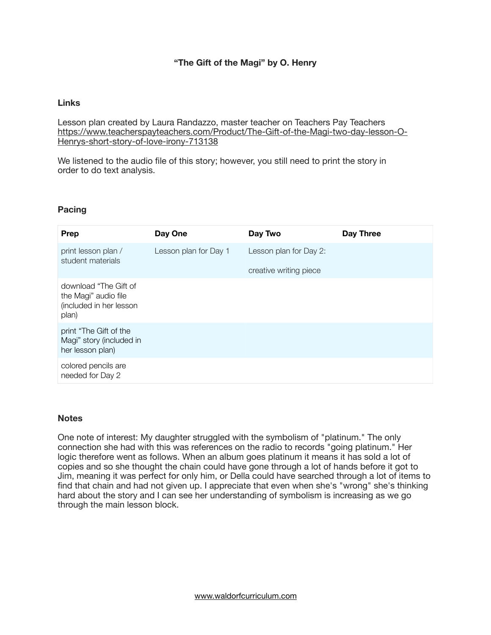# **"The Gift of the Magi" by O. Henry**

## **Links**

Lesson plan created by Laura Randazzo, master teacher on Teachers Pay Teachers [https://www.teacherspayteachers.com/Product/The-Gift-of-the-Magi-two-day-lesson-O-](https://www.teacherspayteachers.com/Product/The-Gift-of-the-Magi-two-day-lesson-O-Henrys-short-story-of-love-irony-713138)Henrys-short-story-of-love-irony-713138

We listened to the audio file of this story; however, you still need to print the story in order to do text analysis. 

# **Pacing**

| Prep                                                                              | Day One               | Day Two                                          | Day Three |
|-----------------------------------------------------------------------------------|-----------------------|--------------------------------------------------|-----------|
| print lesson plan /<br>student materials                                          | Lesson plan for Day 1 | Lesson plan for Day 2:<br>creative writing piece |           |
| download "The Gift of<br>the Magi" audio file<br>(included in her lesson<br>plan) |                       |                                                  |           |
| print "The Gift of the<br>Magi" story (included in<br>her lesson plan)            |                       |                                                  |           |
| colored pencils are<br>needed for Day 2                                           |                       |                                                  |           |

#### **Notes**

One note of interest: My daughter struggled with the symbolism of "platinum." The only connection she had with this was references on the radio to records "going platinum." Her logic therefore went as follows. When an album goes platinum it means it has sold a lot of copies and so she thought the chain could have gone through a lot of hands before it got to Jim, meaning it was perfect for only him, or Della could have searched through a lot of items to find that chain and had not given up. I appreciate that even when she's "wrong" she's thinking hard about the story and I can see her understanding of symbolism is increasing as we go through the main lesson block.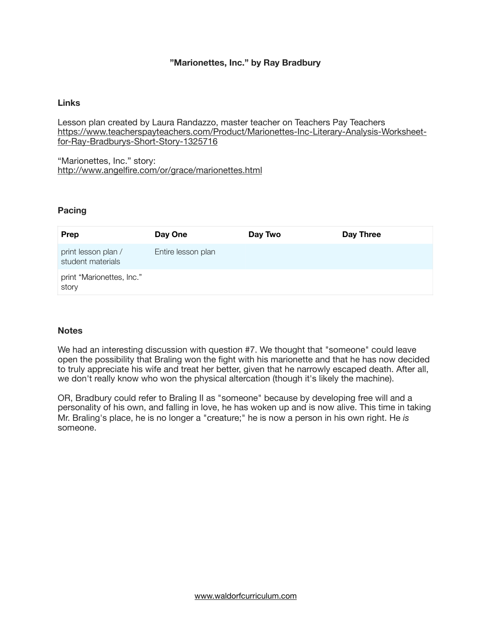# **"Marionettes, Inc." by Ray Bradbury**

# **Links**

Lesson plan created by Laura Randazzo, master teacher on Teachers Pay Teachers [https://www.teacherspayteachers.com/Product/Marionettes-Inc-Literary-Analysis-Worksheet](https://www.teacherspayteachers.com/Product/Marionettes-Inc-Literary-Analysis-Worksheet-for-Ray-Bradburys-Short-Story-1325716)for-Ray-Bradburys-Short-Story-1325716 

"Marionettes, Inc." story: <http://www.angelfire.com/or/grace/marionettes.html>

#### **Pacing**

| Prep                                     | Day One            | Day Two | Day Three |
|------------------------------------------|--------------------|---------|-----------|
| print lesson plan /<br>student materials | Entire lesson plan |         |           |
| print "Marionettes, Inc."<br>story       |                    |         |           |

#### **Notes**

We had an interesting discussion with question #7. We thought that "someone" could leave open the possibility that Braling won the fight with his marionette and that he has now decided to truly appreciate his wife and treat her better, given that he narrowly escaped death. After all, we don't really know who won the physical altercation (though it's likely the machine).

OR, Bradbury could refer to Braling II as "someone" because by developing free will and a personality of his own, and falling in love, he has woken up and is now alive. This time in taking Mr. Braling's place, he is no longer a "creature;" he is now a person in his own right. He *is*  someone.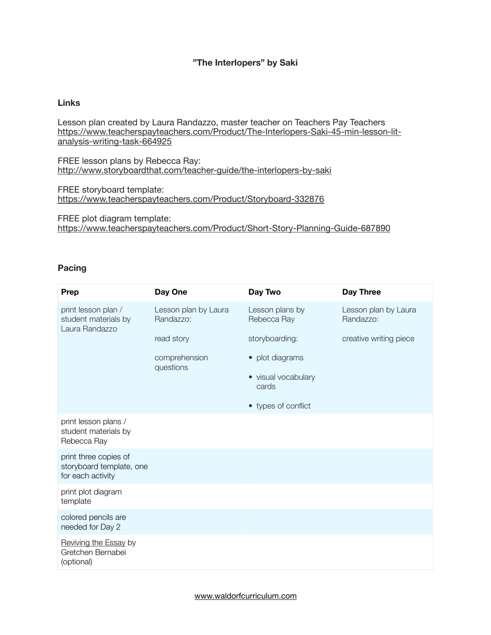# **"The Interlopers" by Saki**

## **Links**

Lesson plan created by Laura Randazzo, master teacher on Teachers Pay Teachers [https://www.teacherspayteachers.com/Product/The-Interlopers-Saki-45-min-lesson-lit](https://www.teacherspayteachers.com/Product/The-Interlopers-Saki-45-min-lesson-lit-analysis-writing-task-664925)analysis-writing-task-664925

FREE lesson plans by Rebecca Ray: <http://www.storyboardthat.com/teacher-guide/the-interlopers-by-saki>

FREE storyboard template: <https://www.teacherspayteachers.com/Product/Storyboard-332876>

FREE plot diagram template: <https://www.teacherspayteachers.com/Product/Short-Story-Planning-Guide-687890>

#### **Pacing**

| <b>Prep</b>                                                            | Day One                           | Day Two                        | Day Three                         |
|------------------------------------------------------------------------|-----------------------------------|--------------------------------|-----------------------------------|
| print lesson plan /<br>student materials by<br>Laura Randazzo          | Lesson plan by Laura<br>Randazzo: | Lesson plans by<br>Rebecca Ray | Lesson plan by Laura<br>Randazzo: |
|                                                                        | read story                        | storyboarding:                 | creative writing piece            |
|                                                                        | comprehension                     | • plot diagrams                |                                   |
|                                                                        | questions                         | • visual vocabulary<br>cards   |                                   |
|                                                                        |                                   | • types of conflict            |                                   |
| print lesson plans /<br>student materials by<br>Rebecca Ray            |                                   |                                |                                   |
| print three copies of<br>storyboard template, one<br>for each activity |                                   |                                |                                   |
| print plot diagram<br>template                                         |                                   |                                |                                   |
| colored pencils are<br>needed for Day 2                                |                                   |                                |                                   |
| Reviving the Essay by<br>Gretchen Bernabei<br>(optional)               |                                   |                                |                                   |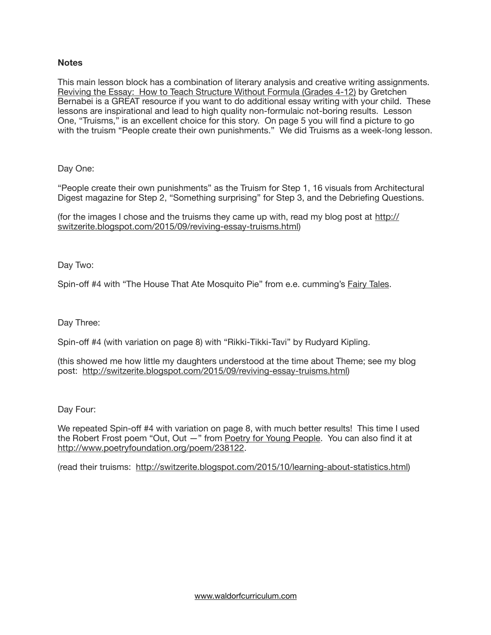# **Notes**

This main lesson block has a combination of literary analysis and creative writing assignments. Reviving the Essay: How to Teach Structure Without Formula (Grades 4-12) by Gretchen Bernabei is a GREAT resource if you want to do additional essay writing with your child. These lessons are inspirational and lead to high quality non-formulaic not-boring results. Lesson One, "Truisms," is an excellent choice for this story. On page 5 you will find a picture to go with the truism "People create their own punishments." We did Truisms as a week-long lesson.

Day One:

"People create their own punishments" as the Truism for Step 1, 16 visuals from Architectural Digest magazine for Step 2, "Something surprising" for Step 3, and the Debriefing Questions.

[\(for the images I chose and the truisms they came up with, read my blog post at http://](http://switzerite.blogspot.com/2015/09/reviving-essay-truisms.html) switzerite.blogspot.com/2015/09/reviving-essay-truisms.html)

Day Two:

Spin-off #4 with "The House That Ate Mosquito Pie" from e.e. cumming's Fairy Tales.

Day Three:

Spin-off #4 (with variation on page 8) with "Rikki-Tikki-Tavi" by Rudyard Kipling.

(this showed me how little my daughters understood at the time about Theme; see my blog post: <http://switzerite.blogspot.com/2015/09/reviving-essay-truisms.html>)

Day Four:

We repeated Spin-off #4 with variation on page 8, with much better results! This time I used the Robert Frost poem "Out, Out —" from Poetry for Young People. You can also find it at [http://www.poetryfoundation.org/poem/238122.](http://www.poetryfoundation.org/poem/238122)

(read their truisms: [http://switzerite.blogspot.com/2015/10/learning-about-statistics.html\)](http://switzerite.blogspot.com/2015/10/learning-about-statistics.html)